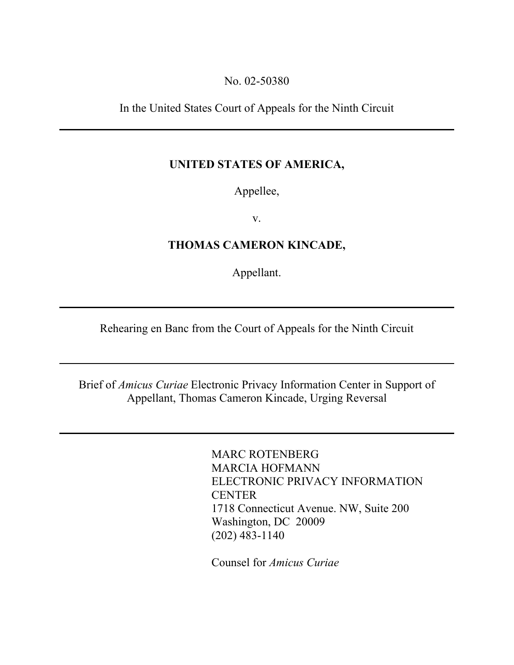### No. 02-50380

In the United States Court of Appeals for the Ninth Circuit

## UNITED STATES OF AMERICA,

Appellee,

v.

# THOMAS CAMERON KINCADE,

Appellant.

Rehearing en Banc from the Court of Appeals for the Ninth Circuit

Brief of *Amicus Curiae* Electronic Privacy Information Center in Support of Appellant, Thomas Cameron Kincade, Urging Reversal

> MARC ROTENBERG MARCIA HOFMANN ELECTRONIC PRIVACY INFORMATION **CENTER** 1718 Connecticut Avenue. NW, Suite 200 Washington, DC 20009 (202) 483-1140

Counsel for *Amicus Curiae*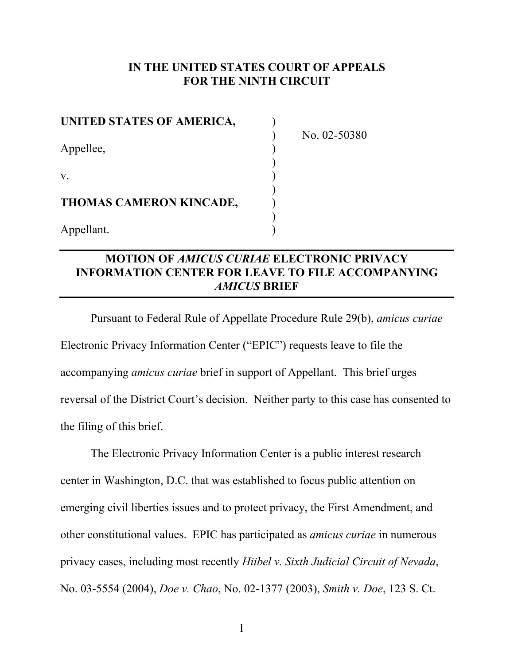## IN THE UNITED STATES COURT OF APPEALS FOR THE NINTH CIRCUIT

| UNITED STATES OF AMERICA, |  |
|---------------------------|--|
| Appellee,                 |  |
| V.                        |  |
| THOMAS CAMERON KINCADE,   |  |
| Appellant.                |  |

) No. 02-50380

# MOTION OF *AMICUS CURIAE* ELECTRONIC PRIVACY INFORMATION CENTER FOR LEAVE TO FILE ACCOMPANYING *AMICUS* BRIEF

Pursuant to Federal Rule of Appellate Procedure Rule 29(b), *amicus curiae* Electronic Privacy Information Center ("EPIC") requests leave to file the accompanying *amicus curiae* brief in support of Appellant. This brief urges reversal of the District Court's decision. Neither party to this case has consented to the filing of this brief.

The Electronic Privacy Information Center is a public interest research center in Washington, D.C. that was established to focus public attention on emerging civil liberties issues and to protect privacy, the First Amendment, and other constitutional values. EPIC has participated as *amicus curiae* in numerous privacy cases, including most recently *Hiibel v. Sixth Judicial Circuit of Nevada*, No. 03-5554 (2004), *Doe v. Chao*, No. 02-1377 (2003), *Smith v. Doe*, 123 S. Ct.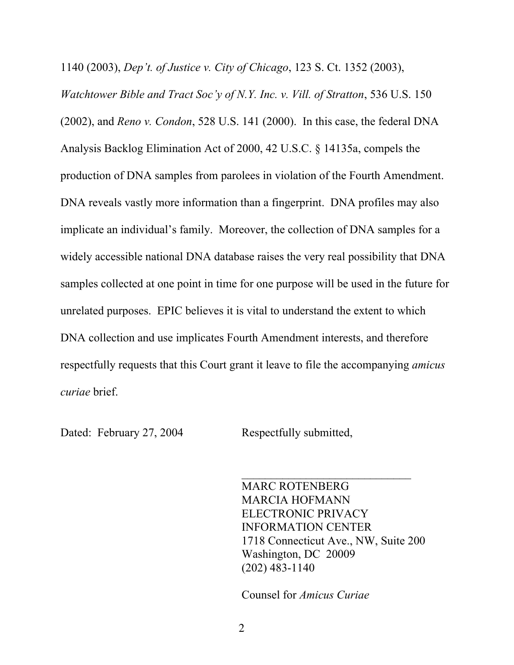1140 (2003), *Dep't. of Justice v. City of Chicago*, 123 S. Ct. 1352 (2003),

*Watchtower Bible and Tract Soc'y of N.Y. Inc. v. Vill. of Stratton*, 536 U.S. 150 (2002), and *Reno v. Condon*, 528 U.S. 141 (2000). In this case, the federal DNA Analysis Backlog Elimination Act of 2000, 42 U.S.C. § 14135a, compels the production of DNA samples from parolees in violation of the Fourth Amendment. DNA reveals vastly more information than a fingerprint. DNA profiles may also implicate an individual's family. Moreover, the collection of DNA samples for a widely accessible national DNA database raises the very real possibility that DNA samples collected at one point in time for one purpose will be used in the future for unrelated purposes. EPIC believes it is vital to understand the extent to which DNA collection and use implicates Fourth Amendment interests, and therefore respectfully requests that this Court grant it leave to file the accompanying *amicus curiae* brief.

Dated: February 27, 2004 Respectfully submitted,

MARC ROTENBERG MARCIA HOFMANN ELECTRONIC PRIVACY INFORMATION CENTER 1718 Connecticut Ave., NW, Suite 200 Washington, DC 20009 (202) 483-1140

 $\mathcal{L}_\text{max}$  , where  $\mathcal{L}_\text{max}$  , we have the set of  $\mathcal{L}_\text{max}$ 

Counsel for *Amicus Curiae*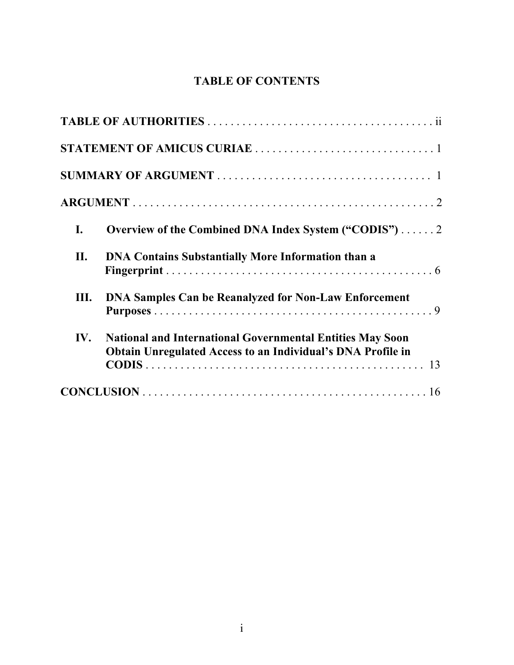# TABLE OF CONTENTS

| I.  | Overview of the Combined DNA Index System ("CODIS") 2                                                                                  |
|-----|----------------------------------------------------------------------------------------------------------------------------------------|
| П.  | <b>DNA Contains Substantially More Information than a</b>                                                                              |
| Ш.  | <b>DNA Samples Can be Reanalyzed for Non-Law Enforcement</b>                                                                           |
| IV. | <b>National and International Governmental Entities May Soon</b><br><b>Obtain Unregulated Access to an Individual's DNA Profile in</b> |
|     |                                                                                                                                        |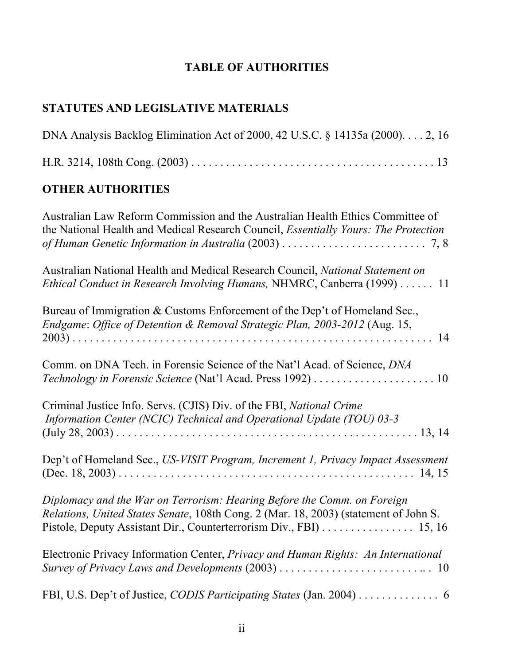# TABLE OF AUTHORITIES

# STATUTES AND LEGISLATIVE MATERIALS

| DNA Analysis Backlog Elimination Act of 2000, 42 U.S.C. § 14135a (2000). 2, 16                                                                                                                                                        |
|---------------------------------------------------------------------------------------------------------------------------------------------------------------------------------------------------------------------------------------|
|                                                                                                                                                                                                                                       |
| <b>OTHER AUTHORITIES</b>                                                                                                                                                                                                              |
| Australian Law Reform Commission and the Australian Health Ethics Committee of<br>the National Health and Medical Research Council, <i>Essentially Yours: The Protection</i>                                                          |
| Australian National Health and Medical Research Council, National Statement on<br>Ethical Conduct in Research Involving Humans, NHMRC, Canberra (1999) 11                                                                             |
| Bureau of Immigration & Customs Enforcement of the Dep't of Homeland Sec.,<br>Endgame: Office of Detention & Removal Strategic Plan, 2003-2012 (Aug. 15,                                                                              |
| Comm. on DNA Tech. in Forensic Science of the Nat'l Acad. of Science, DNA                                                                                                                                                             |
| Criminal Justice Info. Servs. (CJIS) Div. of the FBI, National Crime<br>Information Center (NCIC) Technical and Operational Update (TOU) 03-3                                                                                         |
| Dep't of Homeland Sec., US-VISIT Program, Increment 1, Privacy Impact Assessment                                                                                                                                                      |
| Diplomacy and the War on Terrorism: Hearing Before the Comm. on Foreign<br>Relations, United States Senate, 108th Cong. 2 (Mar. 18, 2003) (statement of John S.<br>Pistole, Deputy Assistant Dir., Counterterrorism Div., FBI) 15, 16 |
| Electronic Privacy Information Center, <i>Privacy and Human Rights: An International</i>                                                                                                                                              |
| FBI, U.S. Dep't of Justice, CODIS Participating States (Jan. 2004) 6                                                                                                                                                                  |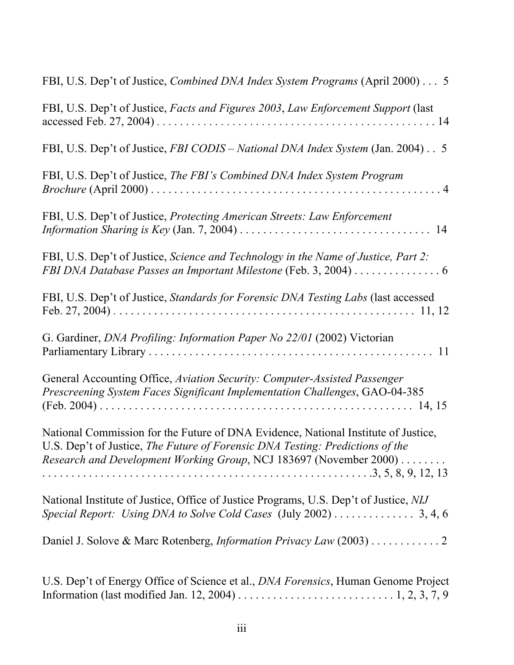| FBI, U.S. Dep't of Justice, <i>Combined DNA Index System Programs</i> (April 2000) 5                                                                                                                                                             |
|--------------------------------------------------------------------------------------------------------------------------------------------------------------------------------------------------------------------------------------------------|
| FBI, U.S. Dep't of Justice, Facts and Figures 2003, Law Enforcement Support (last                                                                                                                                                                |
| FBI, U.S. Dep't of Justice, FBI CODIS - National DNA Index System (Jan. 2004) 5                                                                                                                                                                  |
| FBI, U.S. Dep't of Justice, The FBI's Combined DNA Index System Program                                                                                                                                                                          |
| FBI, U.S. Dep't of Justice, Protecting American Streets: Law Enforcement<br><i>Information Sharing is Key</i> (Jan. 7, 2004) $\ldots \ldots \ldots \ldots \ldots \ldots \ldots \ldots \ldots \ldots$<br>14                                       |
| FBI, U.S. Dep't of Justice, Science and Technology in the Name of Justice, Part 2:<br>FBI DNA Database Passes an Important Milestone (Feb. 3, 2004) 6                                                                                            |
| FBI, U.S. Dep't of Justice, Standards for Forensic DNA Testing Labs (last accessed                                                                                                                                                               |
| G. Gardiner, DNA Profiling: Information Paper No 22/01 (2002) Victorian                                                                                                                                                                          |
| General Accounting Office, Aviation Security: Computer-Assisted Passenger<br>Prescreening System Faces Significant Implementation Challenges, GAO-04-385                                                                                         |
| National Commission for the Future of DNA Evidence, National Institute of Justice,<br>U.S. Dep't of Justice, The Future of Forensic DNA Testing: Predictions of the<br><i>Research and Development Working Group, NCJ 183697 (November 2000)</i> |
| National Institute of Justice, Office of Justice Programs, U.S. Dep't of Justice, NIJ<br>Special Report: Using DNA to Solve Cold Cases (July 2002) 3, 4, 6                                                                                       |
| Daniel J. Solove & Marc Rotenberg, <i>Information Privacy Law</i> (2003) 2                                                                                                                                                                       |
| U.S. Dep't of Energy Office of Science et al., <i>DNA Forensics</i> , Human Genome Project                                                                                                                                                       |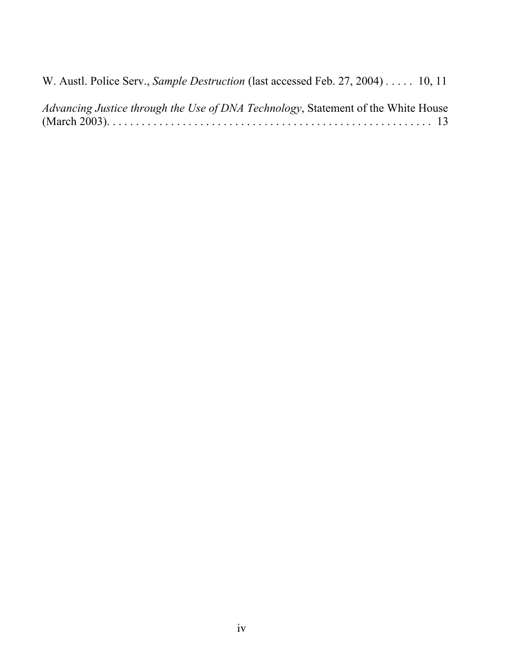W. Austl. Police Serv., *Sample Destruction* (last accessed Feb. 27, 2004) *.* . . . . 10, 11

*Advancing Justice through the Use of DNA Technology*, Statement of the White House (March 2003). . . . . . . . . . . . . . . . . . . . . . . . . . . . . . . . . . . . . . . . . . . . . . . . . . . . . . . . 13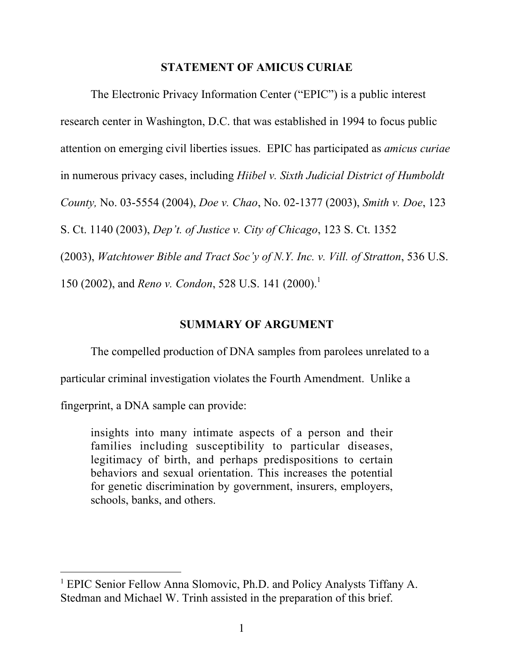## STATEMENT OF AMICUS CURIAE

The Electronic Privacy Information Center ("EPIC") is a public interest research center in Washington, D.C. that was established in 1994 to focus public attention on emerging civil liberties issues. EPIC has participated as *amicus curiae* in numerous privacy cases, including *Hiibel v. Sixth Judicial District of Humboldt County,* No. 03-5554 (2004), *Doe v. Chao*, No. 02-1377 (2003), *Smith v. Doe*, 123 S. Ct. 1140 (2003), *Dep't. of Justice v. City of Chicago*, 123 S. Ct. 1352 (2003), *Watchtower Bible and Tract Soc'y of N.Y. Inc. v. Vill. of Stratton*, 536 U.S.

150 (2002), and *Reno v. Condon*, 528 U.S. 141 (2000).<sup>1</sup>

## SUMMARY OF ARGUMENT

The compelled production of DNA samples from parolees unrelated to a

particular criminal investigation violates the Fourth Amendment. Unlike a

fingerprint, a DNA sample can provide:

insights into many intimate aspects of a person and their families including susceptibility to particular diseases, legitimacy of birth, and perhaps predispositions to certain behaviors and sexual orientation. This increases the potential for genetic discrimination by government, insurers, employers, schools, banks, and others.

 <sup>1</sup> EPIC Senior Fellow Anna Slomovic, Ph.D. and Policy Analysts Tiffany A. Stedman and Michael W. Trinh assisted in the preparation of this brief.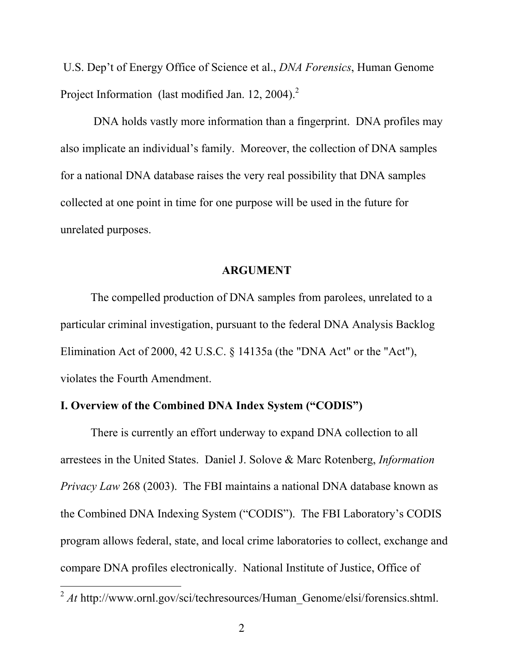U.S. Dep't of Energy Office of Science et al., *DNA Forensics*, Human Genome Project Information (last modified Jan. 12, 2004).<sup>2</sup>

 DNA holds vastly more information than a fingerprint. DNA profiles may also implicate an individual's family. Moreover, the collection of DNA samples for a national DNA database raises the very real possibility that DNA samples collected at one point in time for one purpose will be used in the future for unrelated purposes.

#### ARGUMENT

The compelled production of DNA samples from parolees, unrelated to a particular criminal investigation, pursuant to the federal DNA Analysis Backlog Elimination Act of 2000, 42 U.S.C. § 14135a (the "DNA Act" or the "Act"), violates the Fourth Amendment.

## I. Overview of the Combined DNA Index System ("CODIS")

There is currently an effort underway to expand DNA collection to all arrestees in the United States. Daniel J. Solove & Marc Rotenberg, *Information Privacy Law* 268 (2003). The FBI maintains a national DNA database known as the Combined DNA Indexing System ("CODIS"). The FBI Laboratory's CODIS program allows federal, state, and local crime laboratories to collect, exchange and compare DNA profiles electronically. National Institute of Justice, Office of

<sup>&</sup>lt;sup>2</sup> *At* http://www.ornl.gov/sci/techresources/Human\_Genome/elsi/forensics.shtml.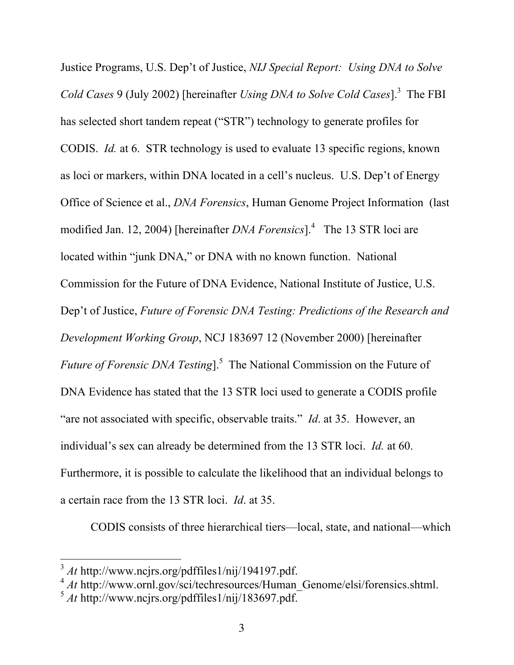Justice Programs, U.S. Dep't of Justice, *NIJ Special Report: Using DNA to Solve Cold Cases* 9 (July 2002) [hereinafter *Using DNA to Solve Cold Cases*].3 The FBI has selected short tandem repeat ("STR") technology to generate profiles for CODIS. *Id.* at 6. STR technology is used to evaluate 13 specific regions, known as loci or markers, within DNA located in a cell's nucleus. U.S. Dep't of Energy Office of Science et al., *DNA Forensics*, Human Genome Project Information (last modified Jan. 12, 2004) [hereinafter *DNA Forensics*].<sup>4</sup> The 13 STR loci are located within "junk DNA," or DNA with no known function. National Commission for the Future of DNA Evidence, National Institute of Justice, U.S. Dep't of Justice, *Future of Forensic DNA Testing: Predictions of the Research and Development Working Group*, NCJ 183697 12 (November 2000) [hereinafter *Future of Forensic DNA Testing*].<sup>5</sup> The National Commission on the Future of DNA Evidence has stated that the 13 STR loci used to generate a CODIS profile "are not associated with specific, observable traits." *Id*. at 35. However, an individual's sex can already be determined from the 13 STR loci. *Id.* at 60. Furthermore, it is possible to calculate the likelihood that an individual belongs to a certain race from the 13 STR loci. *Id*. at 35.

CODIS consists of three hierarchical tiers—local, state, and national—which

<sup>3</sup> *At* http://www.ncjrs.org/pdffiles1/nij/194197.pdf.

<sup>&</sup>lt;sup>4</sup> *At* http://www.ornl.gov/sci/techresources/Human Genome/elsi/forensics.shtml.

<sup>5</sup> *At* http://www.ncjrs.org/pdffiles1/nij/183697.pdf.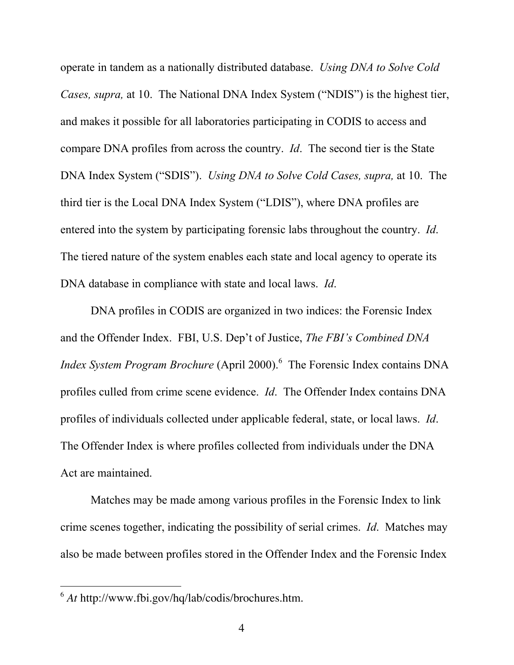operate in tandem as a nationally distributed database. *Using DNA to Solve Cold Cases, supra,* at 10. The National DNA Index System ("NDIS") is the highest tier, and makes it possible for all laboratories participating in CODIS to access and compare DNA profiles from across the country. *Id*. The second tier is the State DNA Index System ("SDIS"). *Using DNA to Solve Cold Cases, supra,* at 10. The third tier is the Local DNA Index System ("LDIS"), where DNA profiles are entered into the system by participating forensic labs throughout the country. *Id*. The tiered nature of the system enables each state and local agency to operate its DNA database in compliance with state and local laws. *Id*.

DNA profiles in CODIS are organized in two indices: the Forensic Index and the Offender Index. FBI, U.S. Dep't of Justice, *The FBI's Combined DNA Index System Program Brochure* (April 2000).<sup>6</sup> The Forensic Index contains DNA profiles culled from crime scene evidence. *Id*. The Offender Index contains DNA profiles of individuals collected under applicable federal, state, or local laws. *Id*. The Offender Index is where profiles collected from individuals under the DNA Act are maintained.

Matches may be made among various profiles in the Forensic Index to link crime scenes together, indicating the possibility of serial crimes. *Id*. Matches may also be made between profiles stored in the Offender Index and the Forensic Index

 <sup>6</sup> *At* http://www.fbi.gov/hq/lab/codis/brochures.htm.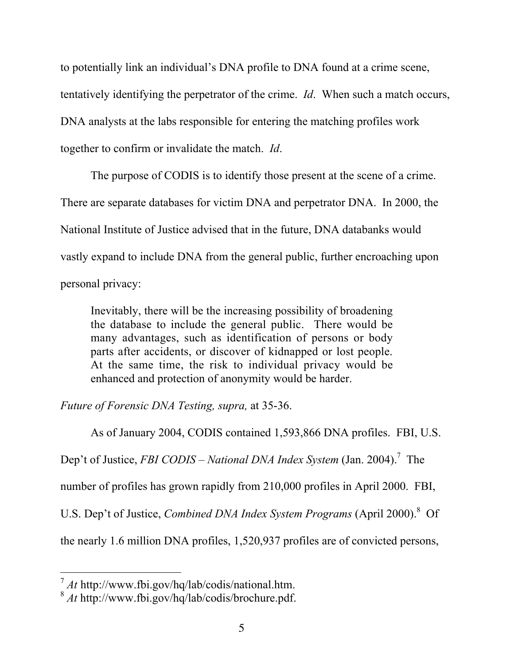to potentially link an individual's DNA profile to DNA found at a crime scene, tentatively identifying the perpetrator of the crime. *Id*. When such a match occurs, DNA analysts at the labs responsible for entering the matching profiles work together to confirm or invalidate the match. *Id*.

The purpose of CODIS is to identify those present at the scene of a crime. There are separate databases for victim DNA and perpetrator DNA. In 2000, the National Institute of Justice advised that in the future, DNA databanks would vastly expand to include DNA from the general public, further encroaching upon personal privacy:

Inevitably, there will be the increasing possibility of broadening the database to include the general public. There would be many advantages, such as identification of persons or body parts after accidents, or discover of kidnapped or lost people. At the same time, the risk to individual privacy would be enhanced and protection of anonymity would be harder.

*Future of Forensic DNA Testing, supra,* at 35-36.

As of January 2004, CODIS contained 1,593,866 DNA profiles. FBI, U.S.

Dep't of Justice, *FBI CODIS – National DNA Index System* (Jan. 2004).<sup>7</sup> The

number of profiles has grown rapidly from 210,000 profiles in April 2000.FBI,

U.S. Dep't of Justice, *Combined DNA Index System Programs* (April 2000).<sup>8</sup> Of

the nearly 1.6 million DNA profiles, 1,520,937 profiles are of convicted persons,

<sup>7</sup> *At* http://www.fbi.gov/hq/lab/codis/national.htm.

<sup>8</sup> *At* http://www.fbi.gov/hq/lab/codis/brochure.pdf.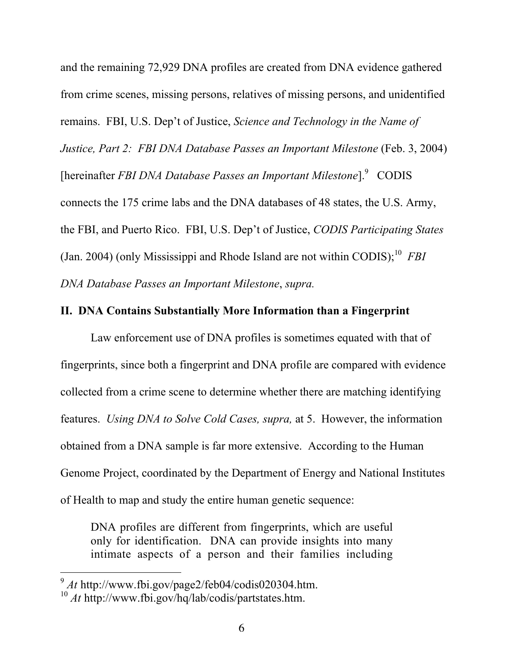and the remaining 72,929 DNA profiles are created from DNA evidence gathered from crime scenes, missing persons, relatives of missing persons, and unidentified remains. FBI, U.S. Dep't of Justice, *Science and Technology in the Name of Justice, Part 2: FBI DNA Database Passes an Important Milestone* (Feb. 3, 2004) [hereinafter *FBI DNA Database Passes an Important Milestone*].<sup>9</sup> CODIS connects the 175 crime labs and the DNA databases of 48 states, the U.S. Army, the FBI, and Puerto Rico. FBI, U.S. Dep't of Justice, *CODIS Participating States* (Jan. 2004) (only Mississippi and Rhode Island are not within CODIS);<sup>10</sup> *FBI DNA Database Passes an Important Milestone*, *supra.* 

## II. DNA Contains Substantially More Information than a Fingerprint

Law enforcement use of DNA profiles is sometimes equated with that of fingerprints, since both a fingerprint and DNA profile are compared with evidence collected from a crime scene to determine whether there are matching identifying features. *Using DNA to Solve Cold Cases, supra,* at 5. However, the information obtained from a DNA sample is far more extensive. According to the Human Genome Project, coordinated by the Department of Energy and National Institutes of Health to map and study the entire human genetic sequence:

DNA profiles are different from fingerprints, which are useful only for identification. DNA can provide insights into many intimate aspects of a person and their families including

<sup>9</sup> *At* http://www.fbi.gov/page2/feb04/codis020304.htm.

<sup>10</sup> *At* http://www.fbi.gov/hq/lab/codis/partstates.htm.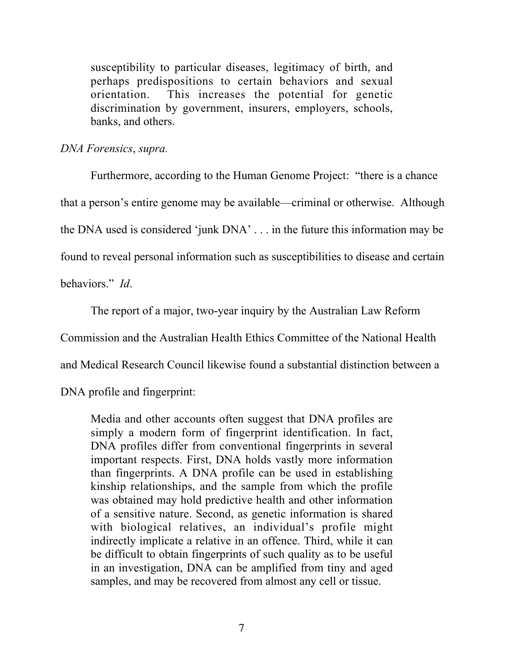susceptibility to particular diseases, legitimacy of birth, and perhaps predispositions to certain behaviors and sexual orientation. This increases the potential for genetic discrimination by government, insurers, employers, schools, banks, and others.

## *DNA Forensics*, *supra.*

Furthermore, according to the Human Genome Project: "there is a chance that a person's entire genome may be available—criminal or otherwise. Although the DNA used is considered 'junk DNA' . . . in the future this information may be found to reveal personal information such as susceptibilities to disease and certain behaviors." *Id*.

The report of a major, two-year inquiry by the Australian Law Reform

Commission and the Australian Health Ethics Committee of the National Health

and Medical Research Council likewise found a substantial distinction between a

DNA profile and fingerprint:

Media and other accounts often suggest that DNA profiles are simply a modern form of fingerprint identification. In fact, DNA profiles differ from conventional fingerprints in several important respects. First, DNA holds vastly more information than fingerprints. A DNA profile can be used in establishing kinship relationships, and the sample from which the profile was obtained may hold predictive health and other information of a sensitive nature. Second, as genetic information is shared with biological relatives, an individual's profile might indirectly implicate a relative in an offence. Third, while it can be difficult to obtain fingerprints of such quality as to be useful in an investigation, DNA can be amplified from tiny and aged samples, and may be recovered from almost any cell or tissue.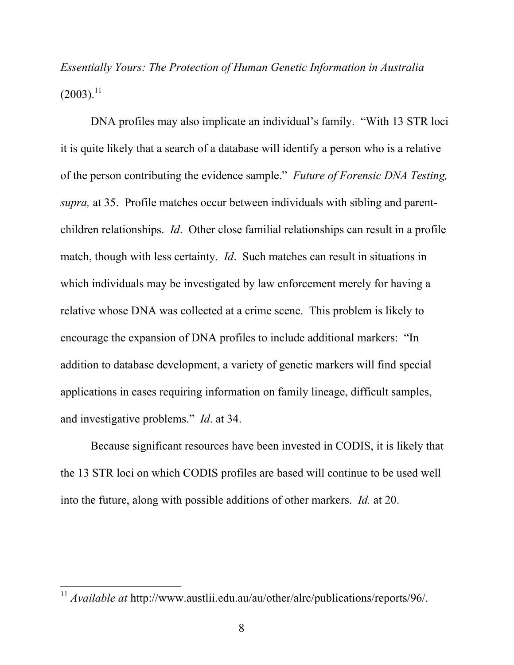*Essentially Yours: The Protection of Human Genetic Information in Australia*  $(2003).^{11}$ 

DNA profiles may also implicate an individual's family. "With 13 STR loci it is quite likely that a search of a database will identify a person who is a relative of the person contributing the evidence sample." *Future of Forensic DNA Testing, supra,* at 35. Profile matches occur between individuals with sibling and parentchildren relationships. *Id*. Other close familial relationships can result in a profile match, though with less certainty. *Id*. Such matches can result in situations in which individuals may be investigated by law enforcement merely for having a relative whose DNA was collected at a crime scene. This problem is likely to encourage the expansion of DNA profiles to include additional markers: "In addition to database development, a variety of genetic markers will find special applications in cases requiring information on family lineage, difficult samples, and investigative problems." *Id*. at 34.

Because significant resources have been invested in CODIS, it is likely that the 13 STR loci on which CODIS profiles are based will continue to be used well into the future, along with possible additions of other markers. *Id.* at 20.

<sup>11</sup> *Available at* http://www.austlii.edu.au/au/other/alrc/publications/reports/96/.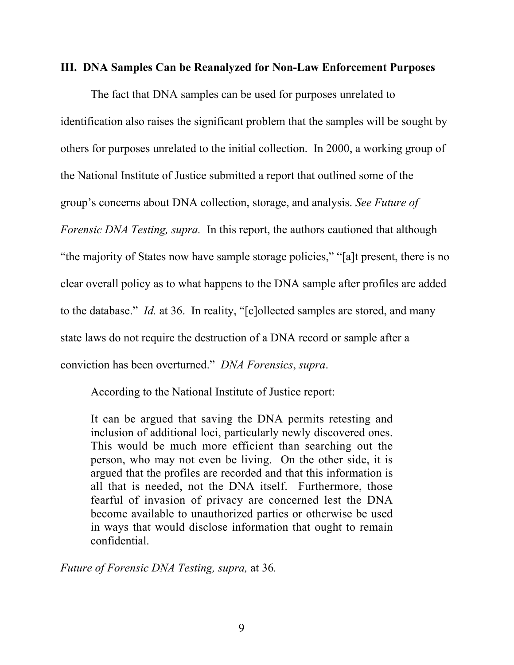#### III. DNA Samples Can be Reanalyzed for Non-Law Enforcement Purposes

The fact that DNA samples can be used for purposes unrelated to identification also raises the significant problem that the samples will be sought by others for purposes unrelated to the initial collection. In 2000, a working group of the National Institute of Justice submitted a report that outlined some of the group's concerns about DNA collection, storage, and analysis. *See Future of Forensic DNA Testing, supra.* In this report, the authors cautioned that although "the majority of States now have sample storage policies," "[a]t present, there is no clear overall policy as to what happens to the DNA sample after profiles are added to the database." *Id.* at 36. In reality, "[c]ollected samples are stored, and many state laws do not require the destruction of a DNA record or sample after a conviction has been overturned." *DNA Forensics*, *supra*.

According to the National Institute of Justice report:

It can be argued that saving the DNA permits retesting and inclusion of additional loci, particularly newly discovered ones. This would be much more efficient than searching out the person, who may not even be living. On the other side, it is argued that the profiles are recorded and that this information is all that is needed, not the DNA itself. Furthermore, those fearful of invasion of privacy are concerned lest the DNA become available to unauthorized parties or otherwise be used in ways that would disclose information that ought to remain confidential.

*Future of Forensic DNA Testing, supra,* at 36*.*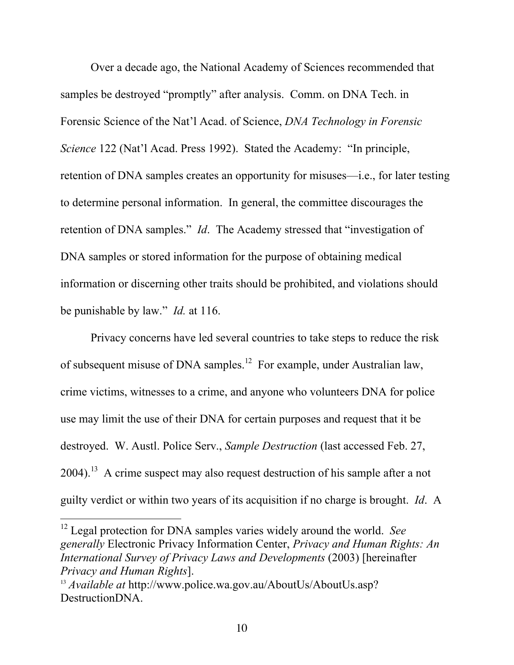Over a decade ago, the National Academy of Sciences recommended that samples be destroyed "promptly" after analysis. Comm. on DNA Tech. in Forensic Science of the Nat'l Acad. of Science, *DNA Technology in Forensic Science* 122 (Nat'l Acad. Press 1992). Stated the Academy: "In principle, retention of DNA samples creates an opportunity for misuses—i.e., for later testing to determine personal information. In general, the committee discourages the retention of DNA samples." *Id*. The Academy stressed that "investigation of DNA samples or stored information for the purpose of obtaining medical information or discerning other traits should be prohibited, and violations should be punishable by law." *Id.* at 116.

Privacy concerns have led several countries to take steps to reduce the risk of subsequent misuse of DNA samples.<sup>12</sup> For example, under Australian law, crime victims, witnesses to a crime, and anyone who volunteers DNA for police use may limit the use of their DNA for certain purposes and request that it be destroyed. W. Austl. Police Serv., *Sample Destruction* (last accessed Feb. 27,  $2004$ .<sup>13</sup> A crime suspect may also request destruction of his sample after a not guilty verdict or within two years of its acquisition if no charge is brought. *Id*. A

<sup>&</sup>lt;sup>12</sup> Legal protection for DNA samples varies widely around the world. *See generally* Electronic Privacy Information Center, *Privacy and Human Rights: An International Survey of Privacy Laws and Developments* (2003) [hereinafter *Privacy and Human Rights*].

<sup>13</sup> *Available at* http://www.police.wa.gov.au/AboutUs/AboutUs.asp? DestructionDNA.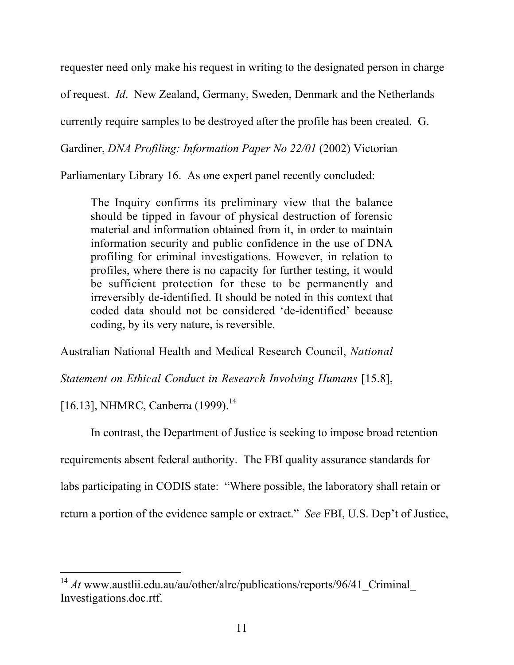requester need only make his request in writing to the designated person in charge

of request. *Id*. New Zealand, Germany, Sweden, Denmark and the Netherlands

currently require samples to be destroyed after the profile has been created. G.

Gardiner, *DNA Profiling: Information Paper No 22/01* (2002) Victorian

Parliamentary Library 16. As one expert panel recently concluded:

The Inquiry confirms its preliminary view that the balance should be tipped in favour of physical destruction of forensic material and information obtained from it, in order to maintain information security and public confidence in the use of DNA profiling for criminal investigations. However, in relation to profiles, where there is no capacity for further testing, it would be sufficient protection for these to be permanently and irreversibly de-identified. It should be noted in this context that coded data should not be considered 'de-identified' because coding, by its very nature, is reversible.

Australian National Health and Medical Research Council, *National*

*Statement on Ethical Conduct in Research Involving Humans* [15.8],

[16.13], NHMRC, Canberra (1999).<sup>14</sup>

In contrast, the Department of Justice is seeking to impose broad retention

requirements absent federal authority. The FBI quality assurance standards for

labs participating in CODIS state: "Where possible, the laboratory shall retain or

return a portion of the evidence sample or extract." *See* FBI, U.S. Dep't of Justice,

<sup>&</sup>lt;sup>14</sup> *At* www.austlii.edu.au/au/other/alrc/publications/reports/96/41\_Criminal\_ Investigations.doc.rtf.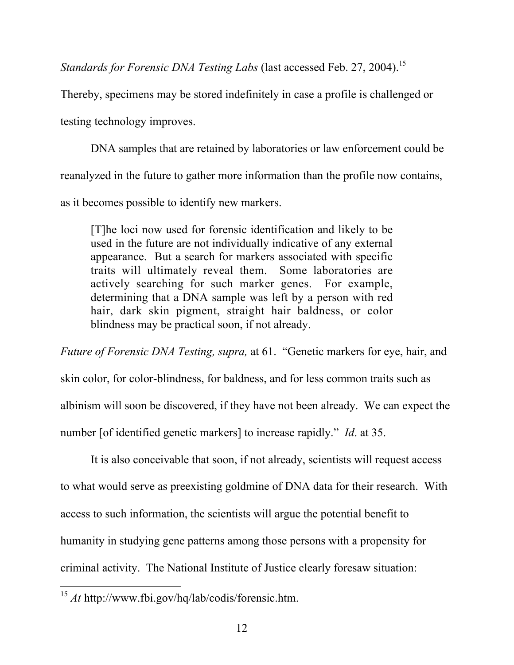*Standards for Forensic DNA Testing Labs* (last accessed Feb. 27, 2004).<sup>15</sup>

Thereby, specimens may be stored indefinitely in case a profile is challenged or

testing technology improves.

DNA samples that are retained by laboratories or law enforcement could be reanalyzed in the future to gather more information than the profile now contains, as it becomes possible to identify new markers.

[T]he loci now used for forensic identification and likely to be used in the future are not individually indicative of any external appearance. But a search for markers associated with specific traits will ultimately reveal them. Some laboratories are actively searching for such marker genes. For example, determining that a DNA sample was left by a person with red hair, dark skin pigment, straight hair baldness, or color blindness may be practical soon, if not already.

*Future of Forensic DNA Testing, supra,* at 61. "Genetic markers for eye, hair, and skin color, for color-blindness, for baldness, and for less common traits such as albinism will soon be discovered, if they have not been already. We can expect the number [of identified genetic markers] to increase rapidly." *Id*. at 35.

It is also conceivable that soon, if not already, scientists will request access to what would serve as preexisting goldmine of DNA data for their research. With access to such information, the scientists will argue the potential benefit to humanity in studying gene patterns among those persons with a propensity for criminal activity. The National Institute of Justice clearly foresaw situation:

<sup>15</sup> *At* http://www.fbi.gov/hq/lab/codis/forensic.htm.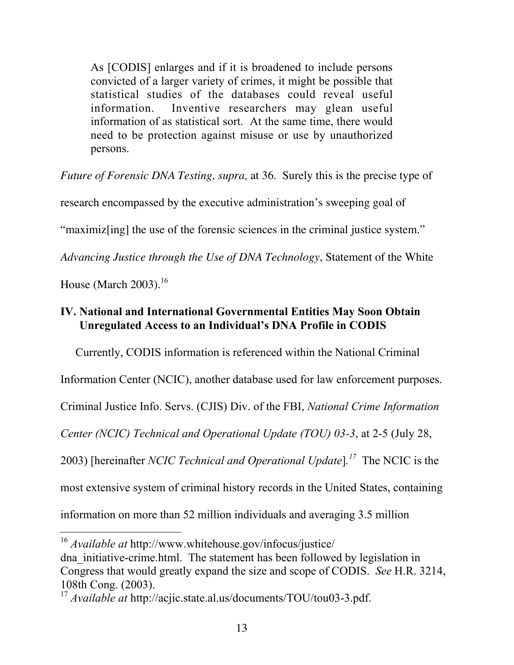As [CODIS] enlarges and if it is broadened to include persons convicted of a larger variety of crimes, it might be possible that statistical studies of the databases could reveal useful information. Inventive researchers may glean useful information of as statistical sort. At the same time, there would need to be protection against misuse or use by unauthorized persons.

*Future of Forensic DNA Testing, supra,* at 36. Surely this is the precise type of

research encompassed by the executive administration's sweeping goal of

"maximiz[ing] the use of the forensic sciences in the criminal justice system."

*Advancing Justice through the Use of DNA Technology*, Statement of the White

House (March  $2003$ ).<sup>16</sup>

# IV. National and International Governmental Entities May Soon Obtain Unregulated Access to an Individual's DNA Profile in CODIS

Currently, CODIS information is referenced within the National Criminal

Information Center (NCIC), another database used for law enforcement purposes.

Criminal Justice Info. Servs. (CJIS) Div. of the FBI, *National Crime Information*

*Center (NCIC) Technical and Operational Update (TOU) 03-3*, at 2-5 (July 28,

2003) [hereinafter *NCIC Technical and Operational Update*]*. 17* The NCIC is the

most extensive system of criminal history records in the United States, containing

information on more than 52 million individuals and averaging 3.5 million

<sup>16</sup> *Available at* http://www.whitehouse.gov/infocus/justice/ dna\_initiative-crime.html. The statement has been followed by legislation in Congress that would greatly expand the size and scope of CODIS. *See* H.R. 3214, 108th Cong. (2003).

<sup>17</sup> *Available at* http://acjic.state.al.us/documents/TOU/tou03-3.pdf.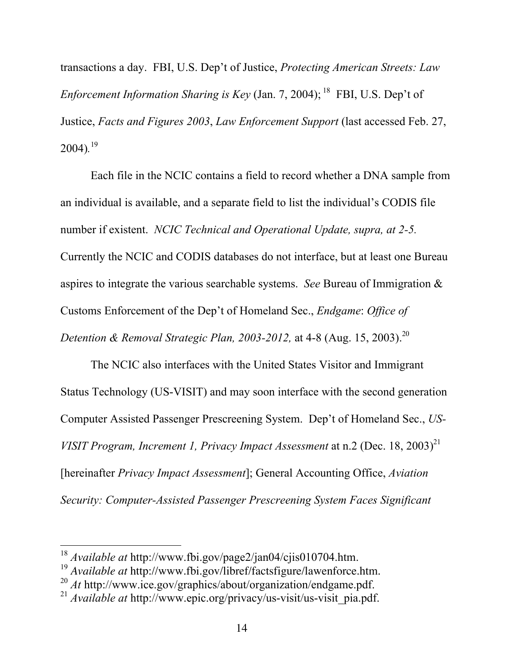transactions a day. FBI, U.S. Dep't of Justice, *Protecting American Streets: Law* Enforcement Information Sharing is Key (Jan. 7, 2004); <sup>18</sup> FBI, U.S. Dep't of Justice, *Facts and Figures 2003*, *Law Enforcement Support* (last accessed Feb. 27, 2004)*.* 19

Each file in the NCIC contains a field to record whether a DNA sample from an individual is available, and a separate field to list the individual's CODIS file number if existent. *NCIC Technical and Operational Update, supra, at 2-5.* Currently the NCIC and CODIS databases do not interface, but at least one Bureau aspires to integrate the various searchable systems. *See* Bureau of Immigration & Customs Enforcement of the Dep't of Homeland Sec., *Endgame*: *Office of Detention & Removal Strategic Plan, 2003-2012,* at 4-8 (Aug. 15, 2003).20

The NCIC also interfaces with the United States Visitor and Immigrant Status Technology (US-VISIT) and may soon interface with the second generation Computer Assisted Passenger Prescreening System. Dep't of Homeland Sec., *US-VISIT Program, Increment 1, Privacy Impact Assessment* at n.2 (Dec. 18, 2003)<sup>21</sup> [hereinafter *Privacy Impact Assessment*]; General Accounting Office, *Aviation Security: Computer-Assisted Passenger Prescreening System Faces Significant*

<sup>18</sup> *Available at* http://www.fbi.gov/page2/jan04/cjis010704.htm.

<sup>&</sup>lt;sup>19</sup> Available at http://www.fbi.gov/libref/factsfigure/lawenforce.htm.

<sup>20</sup> *At* http://www.ice.gov/graphics/about/organization/endgame.pdf.

<sup>21</sup> *Available at* http://www.epic.org/privacy/us-visit/us-visit\_pia.pdf.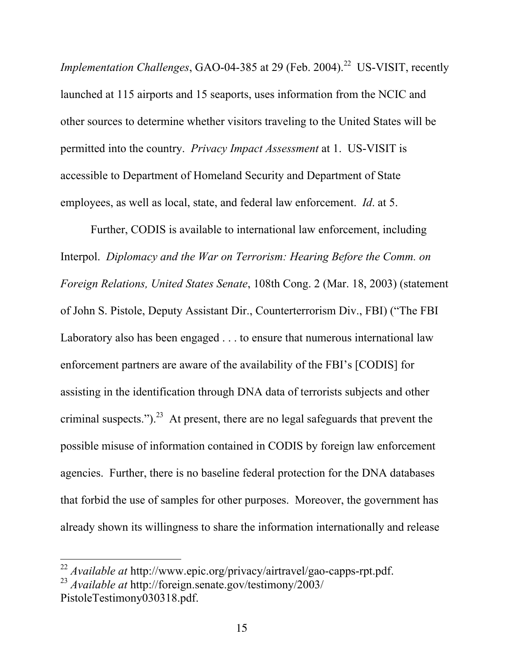*Implementation Challenges, GAO-04-385 at 29 (Feb. 2004).*<sup>22</sup> US-VISIT, recently launched at 115 airports and 15 seaports, uses information from the NCIC and other sources to determine whether visitors traveling to the United States will be permitted into the country. *Privacy Impact Assessment* at 1. US-VISIT is accessible to Department of Homeland Security and Department of State employees, as well as local, state, and federal law enforcement. *Id*. at 5.

Further, CODIS is available to international law enforcement, including Interpol. *Diplomacy and the War on Terrorism: Hearing Before the Comm. on Foreign Relations, United States Senate*, 108th Cong. 2 (Mar. 18, 2003) (statement of John S. Pistole, Deputy Assistant Dir., Counterterrorism Div., FBI) ("The FBI Laboratory also has been engaged . . . to ensure that numerous international law enforcement partners are aware of the availability of the FBI's [CODIS] for assisting in the identification through DNA data of terrorists subjects and other criminal suspects.").<sup>23</sup> At present, there are no legal safeguards that prevent the possible misuse of information contained in CODIS by foreign law enforcement agencies. Further, there is no baseline federal protection for the DNA databases that forbid the use of samples for other purposes. Moreover, the government has already shown its willingness to share the information internationally and release

<sup>22</sup> *Available at* http://www.epic.org/privacy/airtravel/gao-capps-rpt.pdf.

<sup>23</sup> *Available at* http://foreign.senate.gov/testimony/2003/ PistoleTestimony030318.pdf.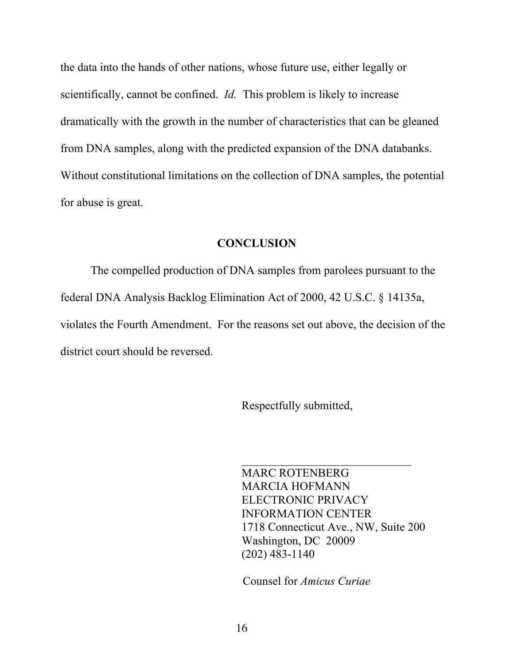the data into the hands of other nations, whose future use, either legally or scientifically, cannot be confined. *Id.* This problem is likely to increase dramatically with the growth in the number of characteristics that can be gleaned from DNA samples, along with the predicted expansion of the DNA databanks. Without constitutional limitations on the collection of DNA samples, the potential for abuse is great.

#### **CONCLUSION**

The compelled production of DNA samples from parolees pursuant to the federal DNA Analysis Backlog Elimination Act of 2000, 42 U.S.C. § 14135a, violates the Fourth Amendment. For the reasons set out above, the decision of the district court should be reversed.

Respectfully submitted,

MARC ROTENBERG MARCIA HOFMANN ELECTRONIC PRIVACY INFORMATION CENTER 1718 Connecticut Ave., NW, Suite 200 Washington, DC 20009 (202) 483-1140

Counsel for *Amicus Curiae*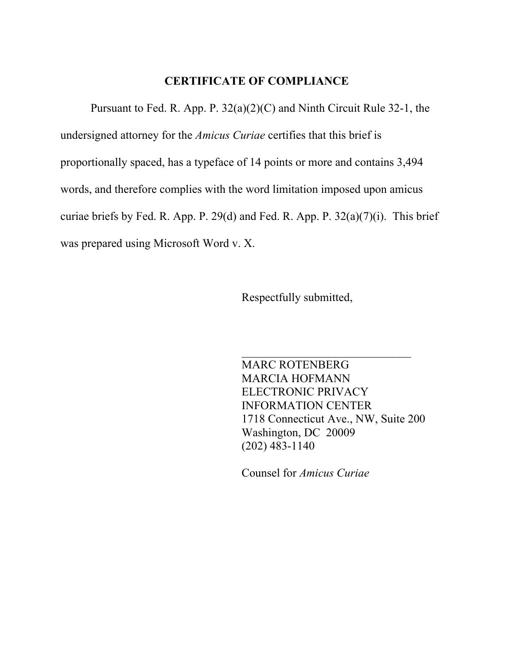### CERTIFICATE OF COMPLIANCE

Pursuant to Fed. R. App. P. 32(a)(2)(C) and Ninth Circuit Rule 32-1, the undersigned attorney for the *Amicus Curiae* certifies that this brief is proportionally spaced, has a typeface of 14 points or more and contains 3,494 words, and therefore complies with the word limitation imposed upon amicus curiae briefs by Fed. R. App. P. 29(d) and Fed. R. App. P. 32(a)(7)(i). This brief was prepared using Microsoft Word v. X.

Respectfully submitted,

MARC ROTENBERG MARCIA HOFMANN ELECTRONIC PRIVACY INFORMATION CENTER 1718 Connecticut Ave., NW, Suite 200 Washington, DC 20009 (202) 483-1140

 $\mathcal{L}_\text{max}$  , where  $\mathcal{L}_\text{max}$  , we have the set of  $\mathcal{L}_\text{max}$ 

Counsel for *Amicus Curiae*